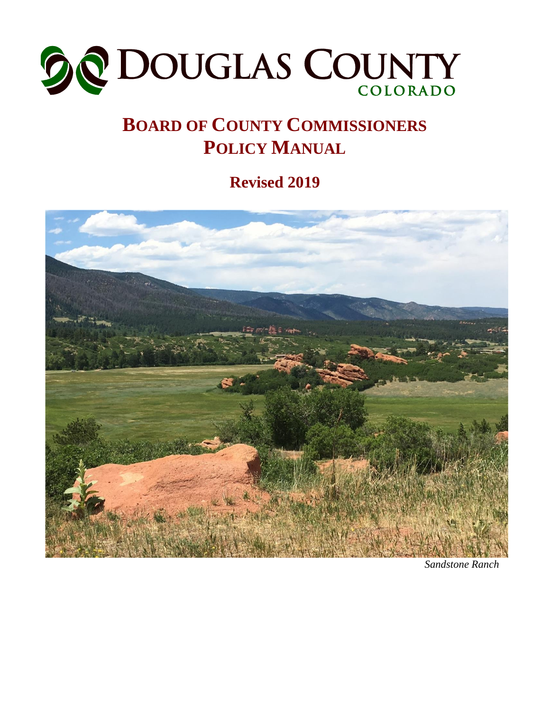

# **BOARD OF COUNTY COMMISSIONERS POLICY MANUAL**

**Revised 2019**



*Sandstone Ranch*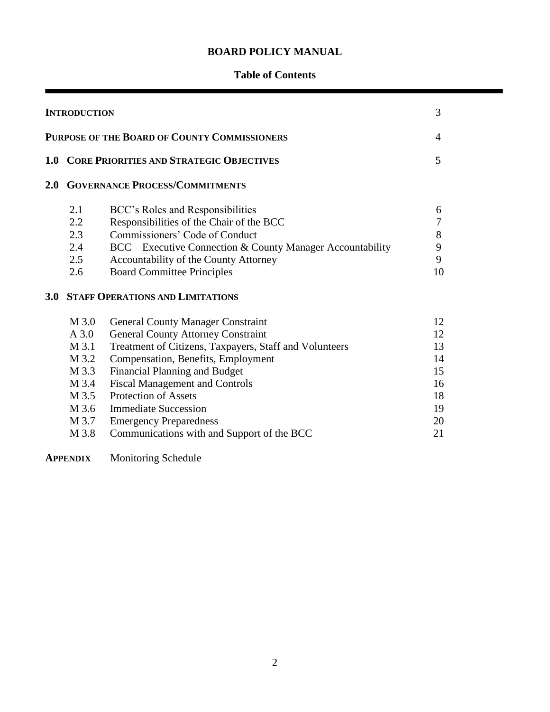# **BOARD POLICY MANUAL**

# **Table of Contents**

| <b>INTRODUCTION</b><br><b>PURPOSE OF THE BOARD OF COUNTY COMMISSIONERS</b> |                                       |                                                            |    |  |  |
|----------------------------------------------------------------------------|---------------------------------------|------------------------------------------------------------|----|--|--|
|                                                                            |                                       |                                                            |    |  |  |
| 2.0                                                                        | <b>GOVERNANCE PROCESS/COMMITMENTS</b> |                                                            |    |  |  |
|                                                                            | 2.1                                   | BCC's Roles and Responsibilities                           | 6  |  |  |
|                                                                            | 2.2                                   | Responsibilities of the Chair of the BCC                   | 7  |  |  |
|                                                                            | 2.3                                   | Commissioners' Code of Conduct                             | 8  |  |  |
|                                                                            | 2.4                                   | BCC – Executive Connection & County Manager Accountability | 9  |  |  |
|                                                                            | 2.5                                   | Accountability of the County Attorney                      | 9  |  |  |
|                                                                            | 2.6                                   | <b>Board Committee Principles</b>                          | 10 |  |  |
| 3.0 <sub>1</sub>                                                           |                                       | <b>STAFF OPERATIONS AND LIMITATIONS</b>                    |    |  |  |
|                                                                            | M 3.0                                 | <b>General County Manager Constraint</b>                   | 12 |  |  |
|                                                                            | $A$ 3.0                               | <b>General County Attorney Constraint</b>                  | 12 |  |  |
|                                                                            | M 3.1                                 | Treatment of Citizens, Taxpayers, Staff and Volunteers     | 13 |  |  |
|                                                                            | M 3.2                                 | Compensation, Benefits, Employment                         | 14 |  |  |
|                                                                            | M 3.3                                 | <b>Financial Planning and Budget</b>                       | 15 |  |  |
|                                                                            | M 3.4                                 | <b>Fiscal Management and Controls</b>                      | 16 |  |  |
|                                                                            | M 3.5                                 | <b>Protection of Assets</b>                                | 18 |  |  |
|                                                                            | M 3.6                                 | <b>Immediate Succession</b>                                | 19 |  |  |
|                                                                            | M 3.7                                 | <b>Emergency Preparedness</b>                              | 20 |  |  |
|                                                                            | M 3.8                                 | Communications with and Support of the BCC                 | 21 |  |  |

**APPENDIX** Monitoring Schedule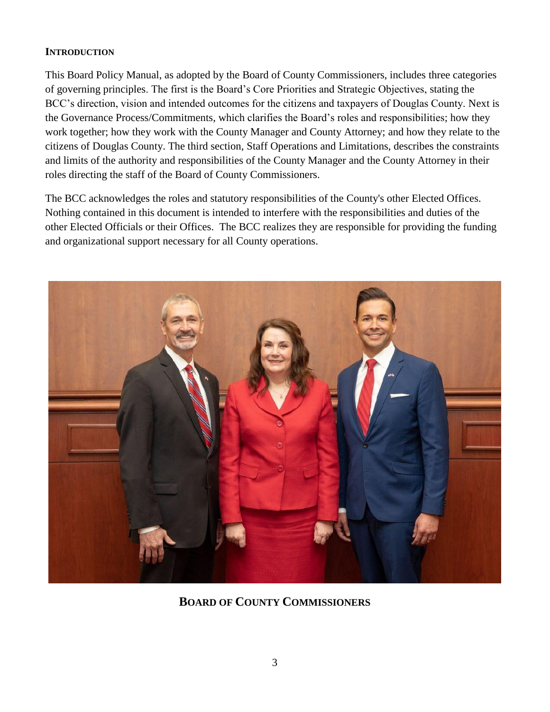# **INTRODUCTION**

This Board Policy Manual, as adopted by the Board of County Commissioners, includes three categories of governing principles. The first is the Board's Core Priorities and Strategic Objectives, stating the BCC's direction, vision and intended outcomes for the citizens and taxpayers of Douglas County. Next is the Governance Process/Commitments, which clarifies the Board's roles and responsibilities; how they work together; how they work with the County Manager and County Attorney; and how they relate to the citizens of Douglas County. The third section, Staff Operations and Limitations, describes the constraints and limits of the authority and responsibilities of the County Manager and the County Attorney in their roles directing the staff of the Board of County Commissioners.

The BCC acknowledges the roles and statutory responsibilities of the County's other Elected Offices. Nothing contained in this document is intended to interfere with the responsibilities and duties of the other Elected Officials or their Offices. The BCC realizes they are responsible for providing the funding and organizational support necessary for all County operations.



**BOARD OF COUNTY COMMISSIONERS**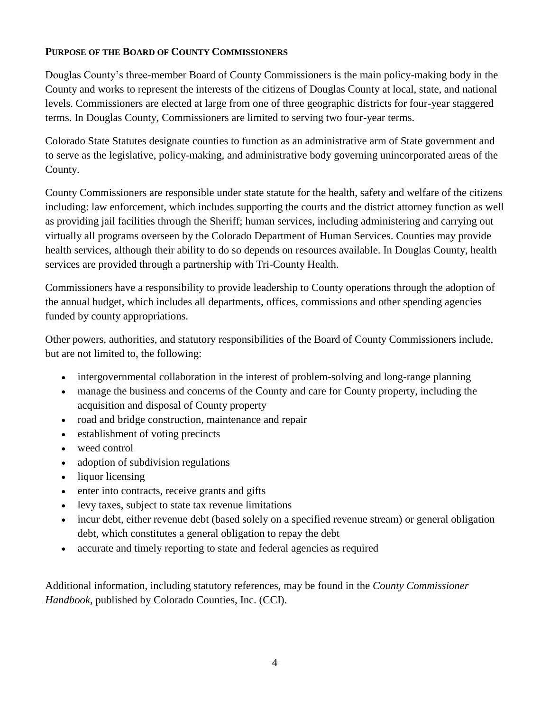# **PURPOSE OF THE BOARD OF COUNTY COMMISSIONERS**

Douglas County's three-member Board of County Commissioners is the main policy-making body in the County and works to represent the interests of the citizens of Douglas County at local, state, and national levels. Commissioners are elected at large from one of three geographic districts for four-year staggered terms. In Douglas County, Commissioners are limited to serving two four-year terms.

Colorado State Statutes designate counties to function as an administrative arm of State government and to serve as the legislative, policy-making, and administrative body governing unincorporated areas of the County.

County Commissioners are responsible under state statute for the health, safety and welfare of the citizens including: law enforcement, which includes supporting the courts and the district attorney function as well as providing jail facilities through the Sheriff; human services, including administering and carrying out virtually all programs overseen by the Colorado Department of Human Services. Counties may provide health services, although their ability to do so depends on resources available. In Douglas County, health services are provided through a partnership with Tri-County Health.

Commissioners have a responsibility to provide leadership to County operations through the adoption of the annual budget, which includes all departments, offices, commissions and other spending agencies funded by county appropriations.

Other powers, authorities, and statutory responsibilities of the Board of County Commissioners include, but are not limited to, the following:

- intergovernmental collaboration in the interest of problem-solving and long-range planning
- manage the business and concerns of the County and care for County property, including the acquisition and disposal of County property
- road and bridge construction, maintenance and repair
- establishment of voting precincts
- weed control
- adoption of subdivision regulations
- liquor licensing
- enter into contracts, receive grants and gifts
- levy taxes, subject to state tax revenue limitations
- incur debt, either revenue debt (based solely on a specified revenue stream) or general obligation debt, which constitutes a general obligation to repay the debt
- accurate and timely reporting to state and federal agencies as required

Additional information, including statutory references, may be found in the *County Commissioner Handbook*, published by Colorado Counties, Inc. (CCI).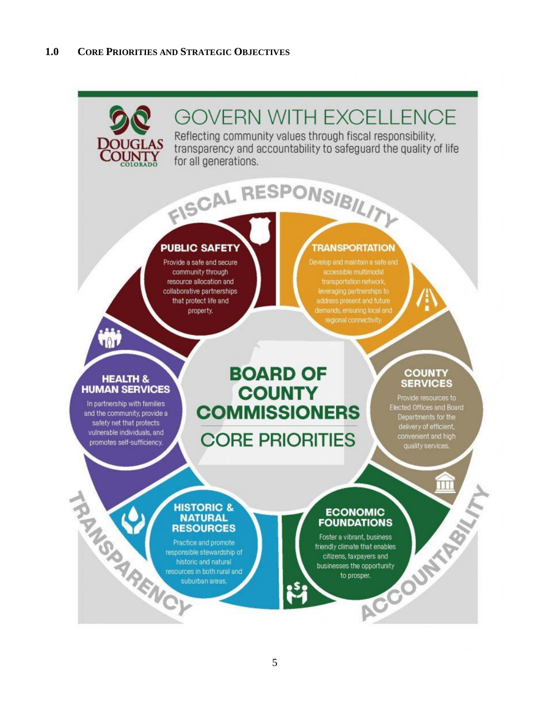# **GOVERN WITH EXCELLENCE**

Reflecting community values through fiscal responsibility, transparency and accountability to safeguard the quality of life for all generations.

# **PUBLIC SAFETY**

Provide a safe and secure community through resource allocation and collaborative partnerships that protect life and property.

### **TRANSPORTATION**

leveraging partnerships to regional connectivity.

#### **HEALTH & HUMAN SERVICES**

 $\sqrt{3}$ 

In partnership with families and the community, provide a safety net that protects vulnerable individuals, and promotes self-sufficiency.

# **BOARD OF COUNTY COMMISSIONERS**

FISCAL RESPONSIBILITY

**CORE PRIORITIES** 

# **COUNTY SERVICES**

Provide resources to<br>Elected Offices and Board<br>Departments for the<br>delivery of efficient,<br>convenient and high<br>quality services.

#### **HISTORIC & NATURAL RESOURCES**

**HISTCRESO**<br> **CONSULTS AND**<br> **CONSULTS**<br> **CONSULTS**<br> **CONSULTS**<br> **CONSULTS**<br> **CONSULTS** Practice and promote responsible stewardship of historic and natural resources in both rural and suburban areas.

#### **ECONOMIC FOUNDATIONS**

EXPRESS ON THE RESERVE OF THE ANDREW PRINT ON SPRING AND RESERVE OF THE ANDREW OF THE ANDREW OF THE ANDREW OF THE ANDREW OF THE ANDREW OF THE ANDREW OF THE ANDREW OF THE ANDREW OF THE ANDREW OF THE ANDREW OF THE ANDREW OF Foster a vibrant, business friendly climate that enables citizens, taxpayers and businesses the opportunity to prosper.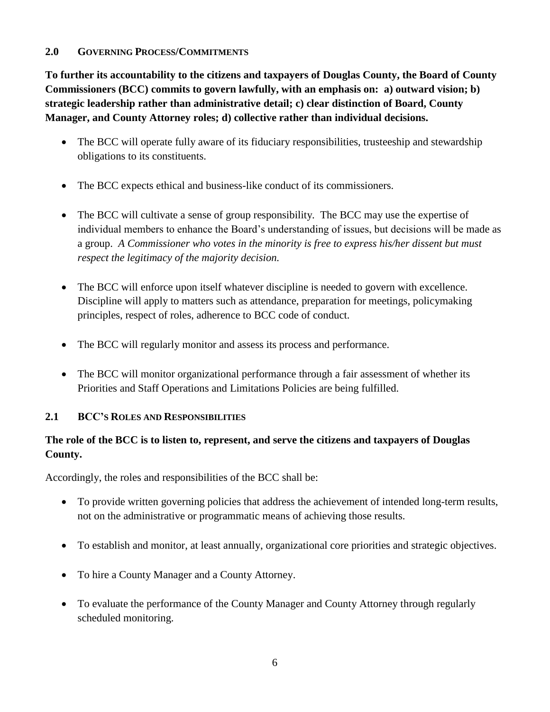### **2.0 GOVERNING PROCESS/COMMITMENTS**

**To further its accountability to the citizens and taxpayers of Douglas County, the Board of County Commissioners (BCC) commits to govern lawfully, with an emphasis on: a) outward vision; b) strategic leadership rather than administrative detail; c) clear distinction of Board, County Manager, and County Attorney roles; d) collective rather than individual decisions.**

- The BCC will operate fully aware of its fiduciary responsibilities, trusteeship and stewardship obligations to its constituents.
- The BCC expects ethical and business-like conduct of its commissioners.
- The BCC will cultivate a sense of group responsibility. The BCC may use the expertise of individual members to enhance the Board's understanding of issues, but decisions will be made as a group. *A Commissioner who votes in the minority is free to express his/her dissent but must respect the legitimacy of the majority decision.*
- The BCC will enforce upon itself whatever discipline is needed to govern with excellence. Discipline will apply to matters such as attendance, preparation for meetings, policymaking principles, respect of roles, adherence to BCC code of conduct.
- The BCC will regularly monitor and assess its process and performance.
- The BCC will monitor organizational performance through a fair assessment of whether its Priorities and Staff Operations and Limitations Policies are being fulfilled.

# **2.1 BCC'S ROLES AND RESPONSIBILITIES**

# **The role of the BCC is to listen to, represent, and serve the citizens and taxpayers of Douglas County.**

Accordingly, the roles and responsibilities of the BCC shall be:

- To provide written governing policies that address the achievement of intended long-term results, not on the administrative or programmatic means of achieving those results.
- To establish and monitor, at least annually, organizational core priorities and strategic objectives.
- To hire a County Manager and a County Attorney.
- To evaluate the performance of the County Manager and County Attorney through regularly scheduled monitoring.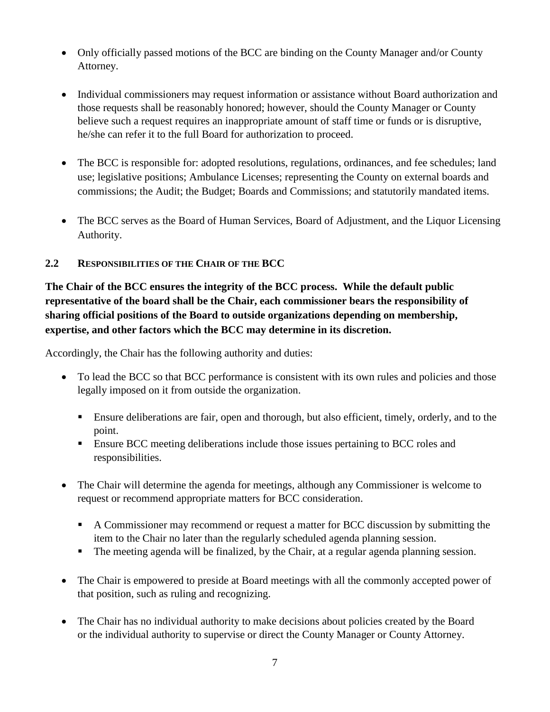- Only officially passed motions of the BCC are binding on the County Manager and/or County Attorney.
- Individual commissioners may request information or assistance without Board authorization and those requests shall be reasonably honored; however, should the County Manager or County believe such a request requires an inappropriate amount of staff time or funds or is disruptive, he/she can refer it to the full Board for authorization to proceed.
- The BCC is responsible for: adopted resolutions, regulations, ordinances, and fee schedules; land use; legislative positions; Ambulance Licenses; representing the County on external boards and commissions; the Audit; the Budget; Boards and Commissions; and statutorily mandated items.
- The BCC serves as the Board of Human Services, Board of Adjustment, and the Liquor Licensing Authority.

# **2.2 RESPONSIBILITIES OF THE CHAIR OF THE BCC**

**The Chair of the BCC ensures the integrity of the BCC process. While the default public representative of the board shall be the Chair, each commissioner bears the responsibility of sharing official positions of the Board to outside organizations depending on membership, expertise, and other factors which the BCC may determine in its discretion.** 

Accordingly, the Chair has the following authority and duties:

- To lead the BCC so that BCC performance is consistent with its own rules and policies and those legally imposed on it from outside the organization.
	- **Ensure deliberations are fair, open and thorough, but also efficient, timely, orderly, and to the** point.
	- **Ensure BCC meeting deliberations include those issues pertaining to BCC roles and** responsibilities.
- The Chair will determine the agenda for meetings, although any Commissioner is welcome to request or recommend appropriate matters for BCC consideration.
	- A Commissioner may recommend or request a matter for BCC discussion by submitting the item to the Chair no later than the regularly scheduled agenda planning session.
	- The meeting agenda will be finalized, by the Chair, at a regular agenda planning session.
- The Chair is empowered to preside at Board meetings with all the commonly accepted power of that position, such as ruling and recognizing.
- The Chair has no individual authority to make decisions about policies created by the Board or the individual authority to supervise or direct the County Manager or County Attorney.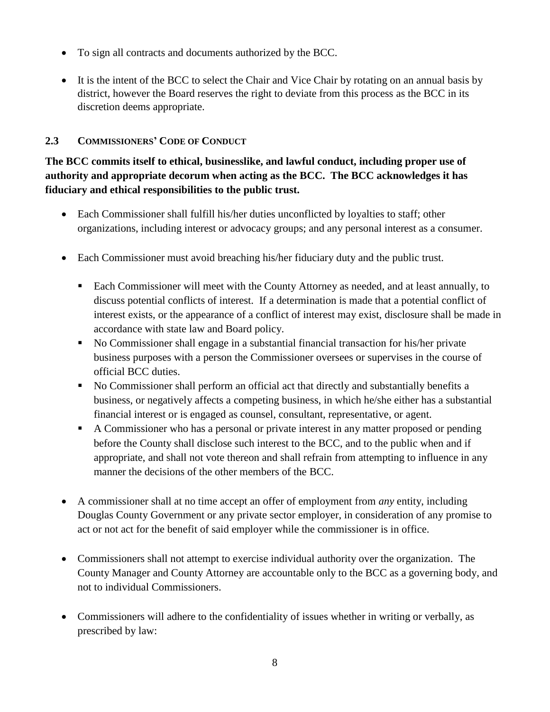- To sign all contracts and documents authorized by the BCC.
- It is the intent of the BCC to select the Chair and Vice Chair by rotating on an annual basis by district, however the Board reserves the right to deviate from this process as the BCC in its discretion deems appropriate.

# **2.3 COMMISSIONERS' CODE OF CONDUCT**

**The BCC commits itself to ethical, businesslike, and lawful conduct, including proper use of authority and appropriate decorum when acting as the BCC. The BCC acknowledges it has fiduciary and ethical responsibilities to the public trust.**

- Each Commissioner shall fulfill his/her duties unconflicted by loyalties to staff; other organizations, including interest or advocacy groups; and any personal interest as a consumer.
- Each Commissioner must avoid breaching his/her fiduciary duty and the public trust.
	- Each Commissioner will meet with the County Attorney as needed, and at least annually, to discuss potential conflicts of interest. If a determination is made that a potential conflict of interest exists, or the appearance of a conflict of interest may exist, disclosure shall be made in accordance with state law and Board policy.
	- No Commissioner shall engage in a substantial financial transaction for his/her private business purposes with a person the Commissioner oversees or supervises in the course of official BCC duties.
	- No Commissioner shall perform an official act that directly and substantially benefits a business, or negatively affects a competing business, in which he/she either has a substantial financial interest or is engaged as counsel, consultant, representative, or agent.
	- A Commissioner who has a personal or private interest in any matter proposed or pending before the County shall disclose such interest to the BCC, and to the public when and if appropriate, and shall not vote thereon and shall refrain from attempting to influence in any manner the decisions of the other members of the BCC.
- A commissioner shall at no time accept an offer of employment from *any* entity, including Douglas County Government or any private sector employer, in consideration of any promise to act or not act for the benefit of said employer while the commissioner is in office.
- Commissioners shall not attempt to exercise individual authority over the organization. The County Manager and County Attorney are accountable only to the BCC as a governing body, and not to individual Commissioners.
- Commissioners will adhere to the confidentiality of issues whether in writing or verbally, as prescribed by law: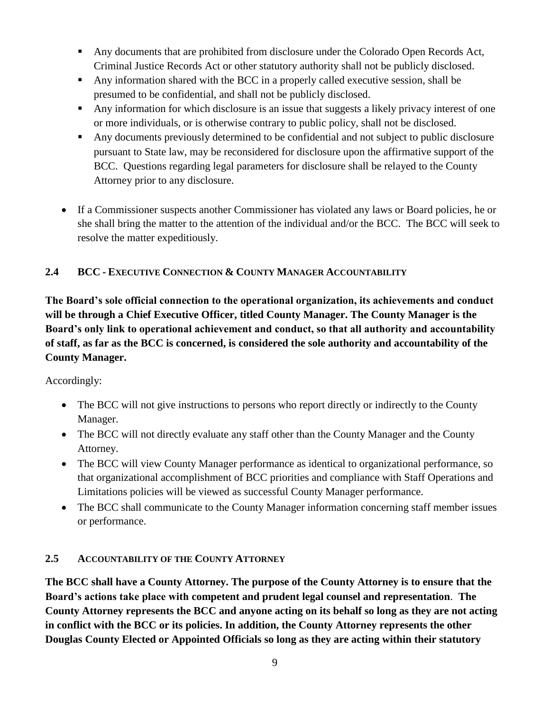- Any documents that are prohibited from disclosure under the Colorado Open Records Act, Criminal Justice Records Act or other statutory authority shall not be publicly disclosed.
- Any information shared with the BCC in a properly called executive session, shall be presumed to be confidential, and shall not be publicly disclosed.
- Any information for which disclosure is an issue that suggests a likely privacy interest of one or more individuals, or is otherwise contrary to public policy, shall not be disclosed.
- Any documents previously determined to be confidential and not subject to public disclosure pursuant to State law, may be reconsidered for disclosure upon the affirmative support of the BCC. Questions regarding legal parameters for disclosure shall be relayed to the County Attorney prior to any disclosure.
- If a Commissioner suspects another Commissioner has violated any laws or Board policies, he or she shall bring the matter to the attention of the individual and/or the BCC. The BCC will seek to resolve the matter expeditiously.

# **2.4 BCC - EXECUTIVE CONNECTION & COUNTY MANAGER ACCOUNTABILITY**

**The Board's sole official connection to the operational organization, its achievements and conduct will be through a Chief Executive Officer, titled County Manager. The County Manager is the Board's only link to operational achievement and conduct, so that all authority and accountability of staff, as far as the BCC is concerned, is considered the sole authority and accountability of the County Manager.**

### Accordingly:

- The BCC will not give instructions to persons who report directly or indirectly to the County Manager.
- The BCC will not directly evaluate any staff other than the County Manager and the County Attorney.
- The BCC will view County Manager performance as identical to organizational performance, so that organizational accomplishment of BCC priorities and compliance with Staff Operations and Limitations policies will be viewed as successful County Manager performance.
- The BCC shall communicate to the County Manager information concerning staff member issues or performance.

# **2.5 ACCOUNTABILITY OF THE COUNTY ATTORNEY**

**The BCC shall have a County Attorney. The purpose of the County Attorney is to ensure that the Board's actions take place with competent and prudent legal counsel and representation**. **The County Attorney represents the BCC and anyone acting on its behalf so long as they are not acting in conflict with the BCC or its policies. In addition, the County Attorney represents the other Douglas County Elected or Appointed Officials so long as they are acting within their statutory**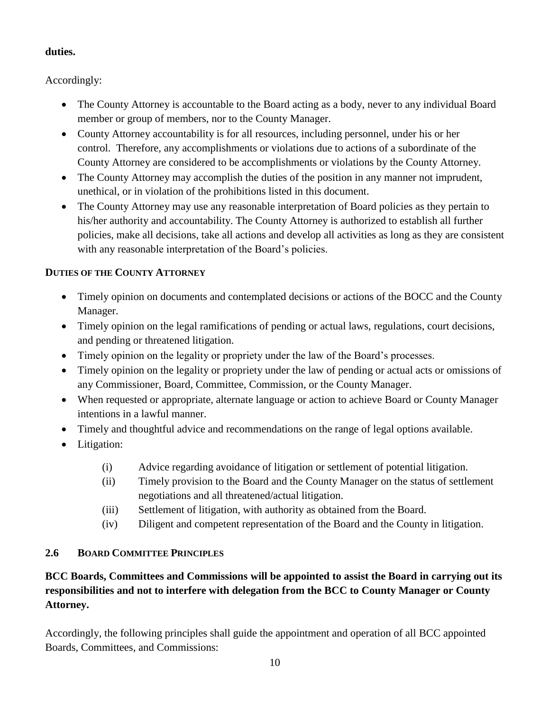# **duties.**

Accordingly:

- The County Attorney is accountable to the Board acting as a body, never to any individual Board member or group of members, nor to the County Manager.
- County Attorney accountability is for all resources, including personnel, under his or her control. Therefore, any accomplishments or violations due to actions of a subordinate of the County Attorney are considered to be accomplishments or violations by the County Attorney.
- The County Attorney may accomplish the duties of the position in any manner not imprudent, unethical, or in violation of the prohibitions listed in this document.
- The County Attorney may use any reasonable interpretation of Board policies as they pertain to his/her authority and accountability. The County Attorney is authorized to establish all further policies, make all decisions, take all actions and develop all activities as long as they are consistent with any reasonable interpretation of the Board's policies.

# **DUTIES OF THE COUNTY ATTORNEY**

- Timely opinion on documents and contemplated decisions or actions of the BOCC and the County Manager.
- Timely opinion on the legal ramifications of pending or actual laws, regulations, court decisions, and pending or threatened litigation.
- Timely opinion on the legality or propriety under the law of the Board's processes.
- Timely opinion on the legality or propriety under the law of pending or actual acts or omissions of any Commissioner, Board, Committee, Commission, or the County Manager.
- When requested or appropriate, alternate language or action to achieve Board or County Manager intentions in a lawful manner.
- Timely and thoughtful advice and recommendations on the range of legal options available.
- Litigation:
	- (i) Advice regarding avoidance of litigation or settlement of potential litigation.
	- (ii) Timely provision to the Board and the County Manager on the status of settlement negotiations and all threatened/actual litigation.
	- (iii) Settlement of litigation, with authority as obtained from the Board.
	- (iv) Diligent and competent representation of the Board and the County in litigation.

# **2.6 BOARD COMMITTEE PRINCIPLES**

# **BCC Boards, Committees and Commissions will be appointed to assist the Board in carrying out its responsibilities and not to interfere with delegation from the BCC to County Manager or County Attorney.**

Accordingly, the following principles shall guide the appointment and operation of all BCC appointed Boards, Committees, and Commissions: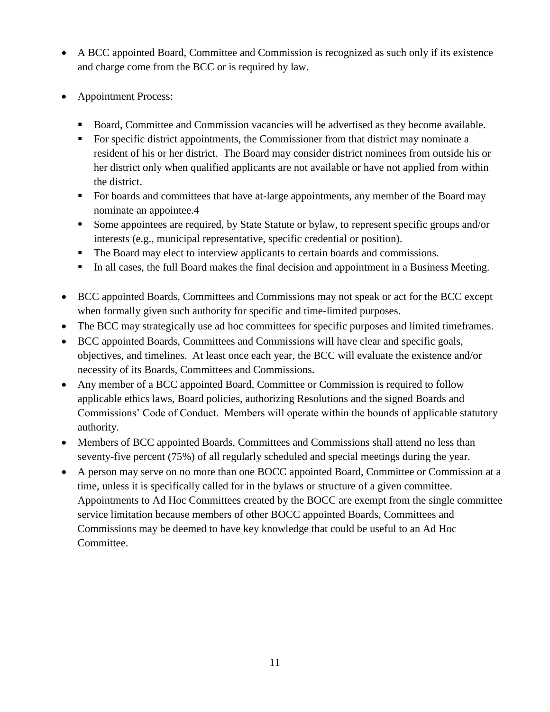- A BCC appointed Board, Committee and Commission is recognized as such only if its existence and charge come from the BCC or is required by law.
- Appointment Process:
	- Board, Committee and Commission vacancies will be advertised as they become available.
	- For specific district appointments, the Commissioner from that district may nominate a resident of his or her district. The Board may consider district nominees from outside his or her district only when qualified applicants are not available or have not applied from within the district.
	- For boards and committees that have at-large appointments, any member of the Board may nominate an appointee.4
	- Some appointees are required, by State Statute or bylaw, to represent specific groups and/or interests (e.g., municipal representative, specific credential or position).
	- The Board may elect to interview applicants to certain boards and commissions.
	- In all cases, the full Board makes the final decision and appointment in a Business Meeting.
- BCC appointed Boards, Committees and Commissions may not speak or act for the BCC except when formally given such authority for specific and time-limited purposes.
- The BCC may strategically use ad hoc committees for specific purposes and limited timeframes.
- BCC appointed Boards, Committees and Commissions will have clear and specific goals, objectives, and timelines. At least once each year, the BCC will evaluate the existence and/or necessity of its Boards, Committees and Commissions.
- Any member of a BCC appointed Board, Committee or Commission is required to follow applicable ethics laws, Board policies, authorizing Resolutions and the signed Boards and Commissions' Code of Conduct. Members will operate within the bounds of applicable statutory authority.
- Members of BCC appointed Boards, Committees and Commissions shall attend no less than seventy-five percent (75%) of all regularly scheduled and special meetings during the year.
- A person may serve on no more than one BOCC appointed Board, Committee or Commission at a time, unless it is specifically called for in the bylaws or structure of a given committee. Appointments to Ad Hoc Committees created by the BOCC are exempt from the single committee service limitation because members of other BOCC appointed Boards, Committees and Commissions may be deemed to have key knowledge that could be useful to an Ad Hoc Committee.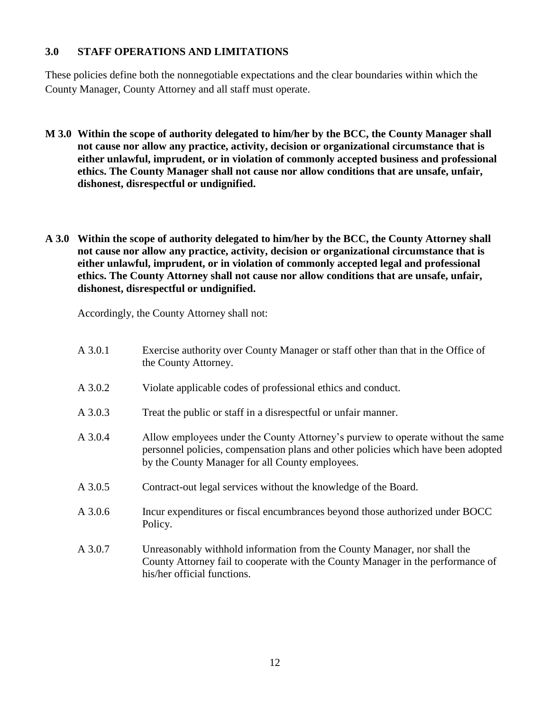#### **3.0 STAFF OPERATIONS AND LIMITATIONS**

These policies define both the nonnegotiable expectations and the clear boundaries within which the County Manager, County Attorney and all staff must operate.

- **M 3.0 Within the scope of authority delegated to him/her by the BCC, the County Manager shall not cause nor allow any practice, activity, decision or organizational circumstance that is either unlawful, imprudent, or in violation of commonly accepted business and professional ethics. The County Manager shall not cause nor allow conditions that are unsafe, unfair, dishonest, disrespectful or undignified.**
- **A 3.0 Within the scope of authority delegated to him/her by the BCC, the County Attorney shall not cause nor allow any practice, activity, decision or organizational circumstance that is either unlawful, imprudent, or in violation of commonly accepted legal and professional ethics. The County Attorney shall not cause nor allow conditions that are unsafe, unfair, dishonest, disrespectful or undignified.**

Accordingly, the County Attorney shall not:

| A 3.0.1   | Exercise authority over County Manager or staff other than that in the Office of<br>the County Attorney.                                                                                                                |
|-----------|-------------------------------------------------------------------------------------------------------------------------------------------------------------------------------------------------------------------------|
| A 3.0.2   | Violate applicable codes of professional ethics and conduct.                                                                                                                                                            |
| A 3.0.3   | Treat the public or staff in a disrespectful or unfair manner.                                                                                                                                                          |
| A 3.0.4   | Allow employees under the County Attorney's purview to operate without the same<br>personnel policies, compensation plans and other policies which have been adopted<br>by the County Manager for all County employees. |
| A 3.0.5   | Contract-out legal services without the knowledge of the Board.                                                                                                                                                         |
| $A$ 3.0.6 | Incur expenditures or fiscal encumbrances beyond those authorized under BOCC<br>Policy.                                                                                                                                 |
| A 3.0.7   | Unreasonably withhold information from the County Manager, nor shall the<br>County Attorney fail to cooperate with the County Manager in the performance of<br>his/her official functions.                              |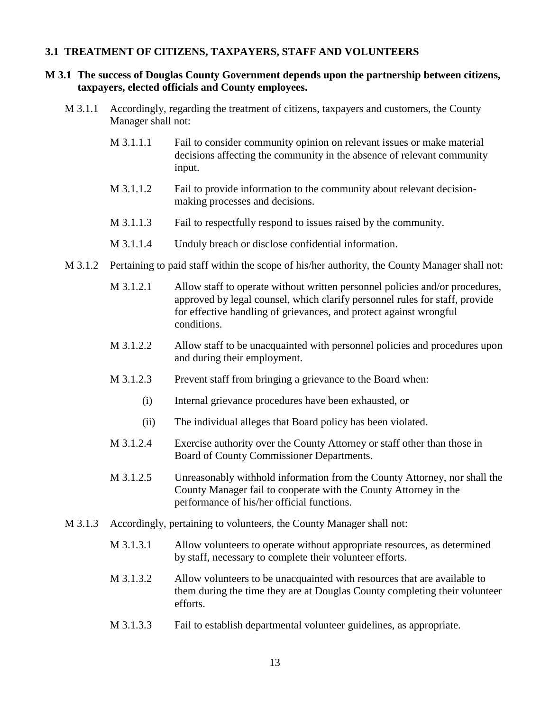#### **3.1 TREATMENT OF CITIZENS, TAXPAYERS, STAFF AND VOLUNTEERS**

#### **M 3.1 The success of Douglas County Government depends upon the partnership between citizens, taxpayers, elected officials and County employees.**

- M 3.1.1 Accordingly, regarding the treatment of citizens, taxpayers and customers, the County Manager shall not:
	- M 3.1.1.1 Fail to consider community opinion on relevant issues or make material decisions affecting the community in the absence of relevant community input.
	- M 3.1.1.2 Fail to provide information to the community about relevant decisionmaking processes and decisions.
	- M 3.1.1.3 Fail to respectfully respond to issues raised by the community.
	- M 3.1.1.4 Unduly breach or disclose confidential information.
- M 3.1.2 Pertaining to paid staff within the scope of his/her authority, the County Manager shall not:
	- M 3.1.2.1 Allow staff to operate without written personnel policies and/or procedures, approved by legal counsel, which clarify personnel rules for staff, provide for effective handling of grievances, and protect against wrongful conditions.
	- M 3.1.2.2 Allow staff to be unacquainted with personnel policies and procedures upon and during their employment.
	- M 3.1.2.3 Prevent staff from bringing a grievance to the Board when:
		- (i) Internal grievance procedures have been exhausted, or
		- (ii) The individual alleges that Board policy has been violated.
	- M 3.1.2.4 Exercise authority over the County Attorney or staff other than those in Board of County Commissioner Departments.
	- M 3.1.2.5 Unreasonably withhold information from the County Attorney, nor shall the County Manager fail to cooperate with the County Attorney in the performance of his/her official functions.
- M 3.1.3 Accordingly, pertaining to volunteers, the County Manager shall not:
	- M 3.1.3.1 Allow volunteers to operate without appropriate resources, as determined by staff, necessary to complete their volunteer efforts.
	- M 3.1.3.2 Allow volunteers to be unacquainted with resources that are available to them during the time they are at Douglas County completing their volunteer efforts.
	- M 3.1.3.3 Fail to establish departmental volunteer guidelines, as appropriate.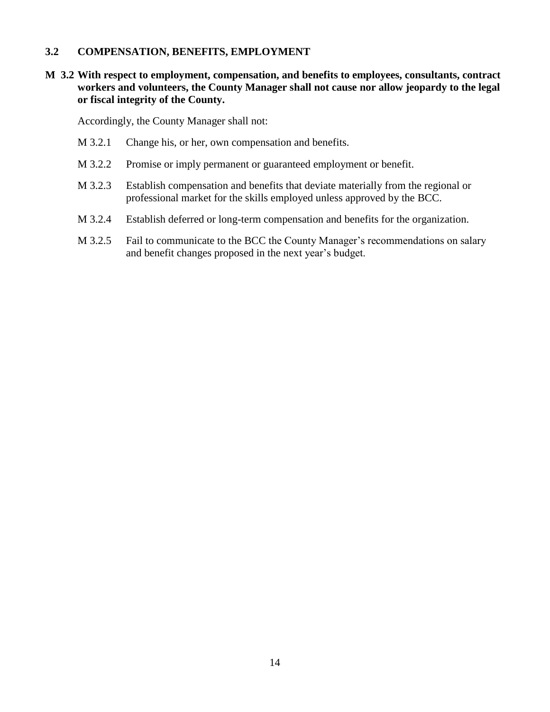#### **3.2 COMPENSATION, BENEFITS, EMPLOYMENT**

#### **M 3.2 With respect to employment, compensation, and benefits to employees, consultants, contract workers and volunteers, the County Manager shall not cause nor allow jeopardy to the legal or fiscal integrity of the County.**

Accordingly, the County Manager shall not:

- M 3.2.1 Change his, or her, own compensation and benefits.
- M 3.2.2 Promise or imply permanent or guaranteed employment or benefit.
- M 3.2.3 Establish compensation and benefits that deviate materially from the regional or professional market for the skills employed unless approved by the BCC.
- M 3.2.4 Establish deferred or long-term compensation and benefits for the organization.
- M 3.2.5 Fail to communicate to the BCC the County Manager's recommendations on salary and benefit changes proposed in the next year's budget.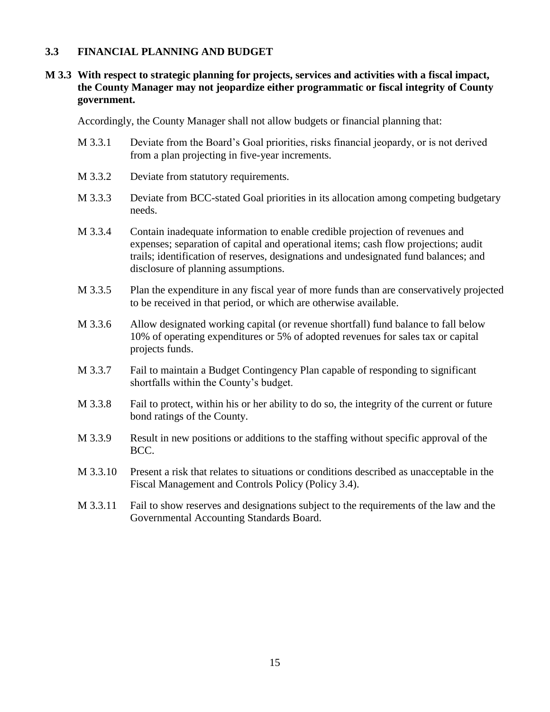#### **3.3 FINANCIAL PLANNING AND BUDGET**

#### **M 3.3 With respect to strategic planning for projects, services and activities with a fiscal impact, the County Manager may not jeopardize either programmatic or fiscal integrity of County government.**

Accordingly, the County Manager shall not allow budgets or financial planning that:

- M 3.3.1 Deviate from the Board's Goal priorities, risks financial jeopardy, or is not derived from a plan projecting in five-year increments.
- M 3.3.2 Deviate from statutory requirements.
- M 3.3.3 Deviate from BCC-stated Goal priorities in its allocation among competing budgetary needs.
- M 3.3.4 Contain inadequate information to enable credible projection of revenues and expenses; separation of capital and operational items; cash flow projections; audit trails; identification of reserves, designations and undesignated fund balances; and disclosure of planning assumptions.
- M 3.3.5 Plan the expenditure in any fiscal year of more funds than are conservatively projected to be received in that period, or which are otherwise available.
- M 3.3.6 Allow designated working capital (or revenue shortfall) fund balance to fall below 10% of operating expenditures or 5% of adopted revenues for sales tax or capital projects funds.
- M 3.3.7 Fail to maintain a Budget Contingency Plan capable of responding to significant shortfalls within the County's budget.
- M 3.3.8 Fail to protect, within his or her ability to do so, the integrity of the current or future bond ratings of the County.
- M 3.3.9 Result in new positions or additions to the staffing without specific approval of the BCC.
- M 3.3.10 Present a risk that relates to situations or conditions described as unacceptable in the Fiscal Management and Controls Policy (Policy 3.4).
- M 3.3.11 Fail to show reserves and designations subject to the requirements of the law and the Governmental Accounting Standards Board.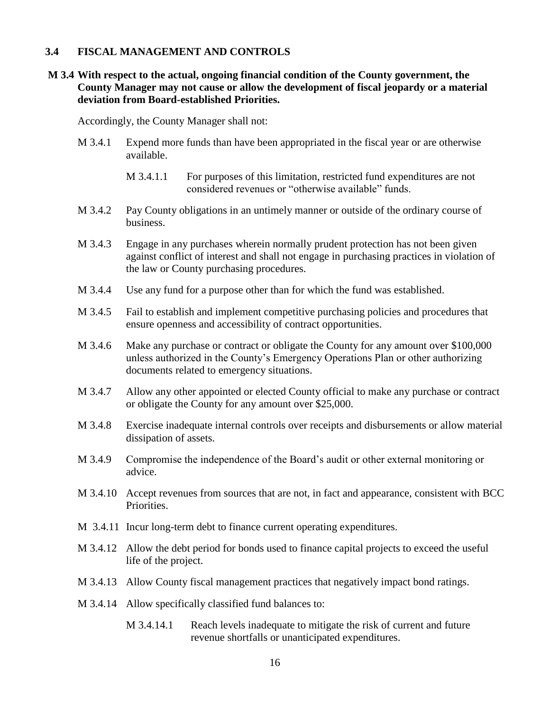#### **3.4 FISCAL MANAGEMENT AND CONTROLS**

#### **M 3.4 With respect to the actual, ongoing financial condition of the County government, the County Manager may not cause or allow the development of fiscal jeopardy or a material deviation from Board-established Priorities.**

Accordingly, the County Manager shall not:

- M 3.4.1 Expend more funds than have been appropriated in the fiscal year or are otherwise available.
	- M 3.4.1.1 For purposes of this limitation, restricted fund expenditures are not considered revenues or "otherwise available" funds.
- M 3.4.2 Pay County obligations in an untimely manner or outside of the ordinary course of business.
- M 3.4.3 Engage in any purchases wherein normally prudent protection has not been given against conflict of interest and shall not engage in purchasing practices in violation of the law or County purchasing procedures.
- M 3.4.4 Use any fund for a purpose other than for which the fund was established.
- M 3.4.5 Fail to establish and implement competitive purchasing policies and procedures that ensure openness and accessibility of contract opportunities.
- M 3.4.6 Make any purchase or contract or obligate the County for any amount over \$100,000 unless authorized in the County's Emergency Operations Plan or other authorizing documents related to emergency situations.
- M 3.4.7 Allow any other appointed or elected County official to make any purchase or contract or obligate the County for any amount over \$25,000.
- M 3.4.8 Exercise inadequate internal controls over receipts and disbursements or allow material dissipation of assets.
- M 3.4.9 Compromise the independence of the Board's audit or other external monitoring or advice.
- M 3.4.10 Accept revenues from sources that are not, in fact and appearance, consistent with BCC Priorities.
- M 3.4.11 Incur long-term debt to finance current operating expenditures.
- M 3.4.12 Allow the debt period for bonds used to finance capital projects to exceed the useful life of the project.
- M 3.4.13 Allow County fiscal management practices that negatively impact bond ratings.
- M 3.4.14 Allow specifically classified fund balances to:
	- M 3.4.14.1 Reach levels inadequate to mitigate the risk of current and future revenue shortfalls or unanticipated expenditures.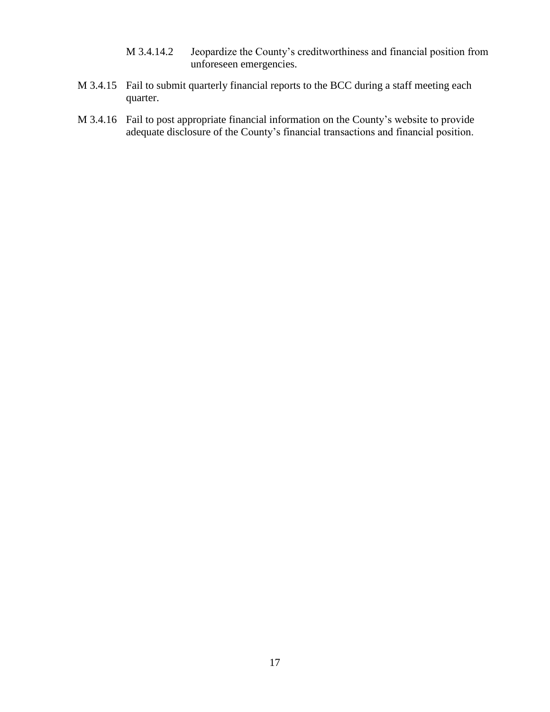- M 3.4.14.2 Jeopardize the County's creditworthiness and financial position from unforeseen emergencies.
- M 3.4.15 Fail to submit quarterly financial reports to the BCC during a staff meeting each quarter.
- M 3.4.16 Fail to post appropriate financial information on the County's website to provide adequate disclosure of the County's financial transactions and financial position.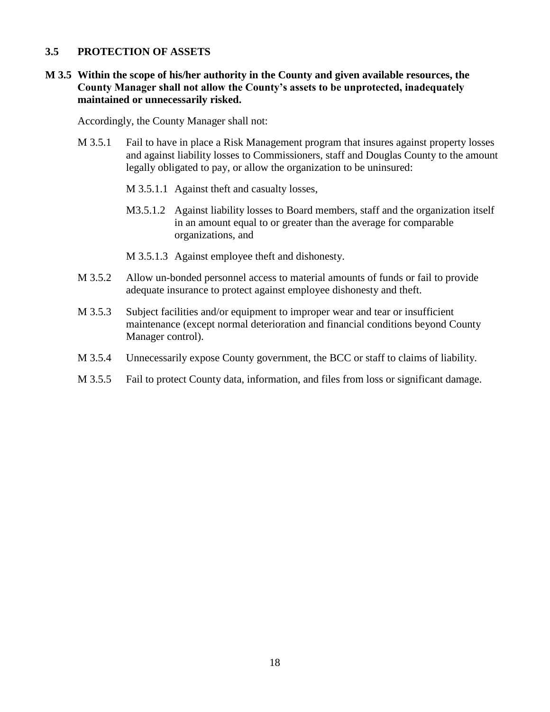#### **3.5 PROTECTION OF ASSETS**

#### **M 3.5 Within the scope of his/her authority in the County and given available resources, the County Manager shall not allow the County's assets to be unprotected, inadequately maintained or unnecessarily risked.**

Accordingly, the County Manager shall not:

- M 3.5.1 Fail to have in place a Risk Management program that insures against property losses and against liability losses to Commissioners, staff and Douglas County to the amount legally obligated to pay, or allow the organization to be uninsured:
	- M 3.5.1.1 Against theft and casualty losses,
	- M3.5.1.2 Against liability losses to Board members, staff and the organization itself in an amount equal to or greater than the average for comparable organizations, and
	- M 3.5.1.3 Against employee theft and dishonesty.
- M 3.5.2 Allow un-bonded personnel access to material amounts of funds or fail to provide adequate insurance to protect against employee dishonesty and theft.
- M 3.5.3 Subject facilities and/or equipment to improper wear and tear or insufficient maintenance (except normal deterioration and financial conditions beyond County Manager control).
- M 3.5.4 Unnecessarily expose County government, the BCC or staff to claims of liability.
- M 3.5.5 Fail to protect County data, information, and files from loss or significant damage.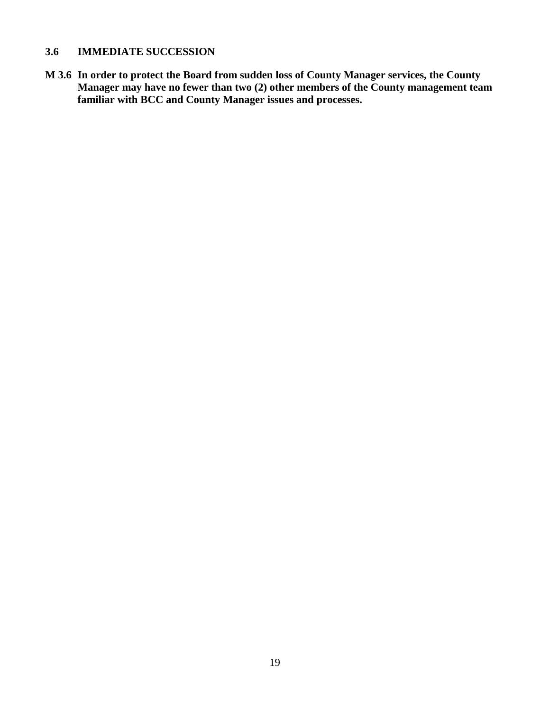# **3.6 IMMEDIATE SUCCESSION**

**M 3.6 In order to protect the Board from sudden loss of County Manager services, the County Manager may have no fewer than two (2) other members of the County management team familiar with BCC and County Manager issues and processes.**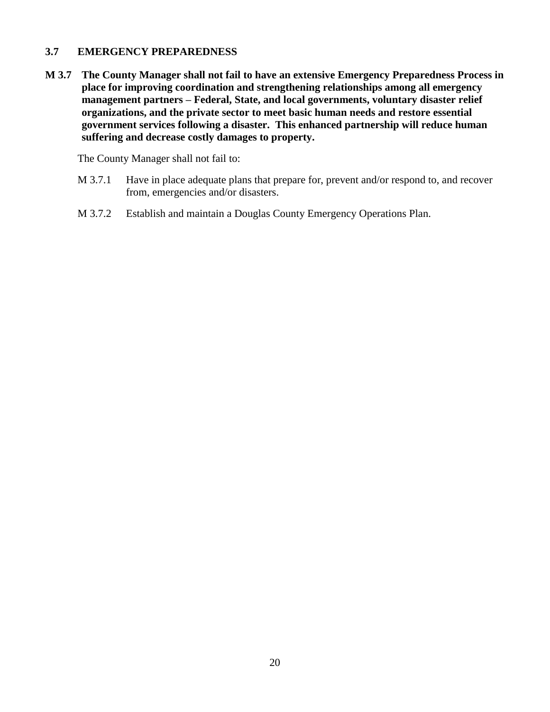#### **3.7 EMERGENCY PREPAREDNESS**

**M 3.7 The County Manager shall not fail to have an extensive Emergency Preparedness Process in place for improving coordination and strengthening relationships among all emergency management partners – Federal, State, and local governments, voluntary disaster relief organizations, and the private sector to meet basic human needs and restore essential government services following a disaster. This enhanced partnership will reduce human suffering and decrease costly damages to property.**

The County Manager shall not fail to:

- M 3.7.1 Have in place adequate plans that prepare for, prevent and/or respond to, and recover from, emergencies and/or disasters.
- M 3.7.2 Establish and maintain a Douglas County Emergency Operations Plan.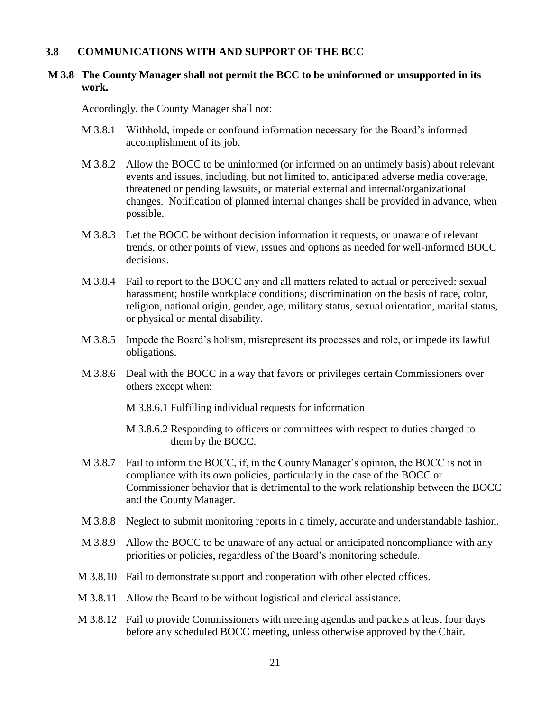#### **3.8 COMMUNICATIONS WITH AND SUPPORT OF THE BCC**

#### **M 3.8 The County Manager shall not permit the BCC to be uninformed or unsupported in its work.**

Accordingly, the County Manager shall not:

- M 3.8.1 Withhold, impede or confound information necessary for the Board's informed accomplishment of its job.
- M 3.8.2 Allow the BOCC to be uninformed (or informed on an untimely basis) about relevant events and issues, including, but not limited to, anticipated adverse media coverage, threatened or pending lawsuits, or material external and internal/organizational changes. Notification of planned internal changes shall be provided in advance, when possible.
- M 3.8.3 Let the BOCC be without decision information it requests, or unaware of relevant trends, or other points of view, issues and options as needed for well-informed BOCC decisions.
- M 3.8.4 Fail to report to the BOCC any and all matters related to actual or perceived: sexual harassment; hostile workplace conditions; discrimination on the basis of race, color, religion, national origin, gender, age, military status, sexual orientation, marital status, or physical or mental disability.
- M 3.8.5 Impede the Board's holism, misrepresent its processes and role, or impede its lawful obligations.
- M 3.8.6 Deal with the BOCC in a way that favors or privileges certain Commissioners over others except when:

M 3.8.6.1 Fulfilling individual requests for information

- M 3.8.6.2 Responding to officers or committees with respect to duties charged to them by the BOCC.
- M 3.8.7 Fail to inform the BOCC, if, in the County Manager's opinion, the BOCC is not in compliance with its own policies, particularly in the case of the BOCC or Commissioner behavior that is detrimental to the work relationship between the BOCC and the County Manager.
- M 3.8.8 Neglect to submit monitoring reports in a timely, accurate and understandable fashion.
- M 3.8.9 Allow the BOCC to be unaware of any actual or anticipated noncompliance with any priorities or policies, regardless of the Board's monitoring schedule.
- M 3.8.10 Fail to demonstrate support and cooperation with other elected offices.
- M 3.8.11 Allow the Board to be without logistical and clerical assistance.
- M 3.8.12 Fail to provide Commissioners with meeting agendas and packets at least four days before any scheduled BOCC meeting, unless otherwise approved by the Chair.